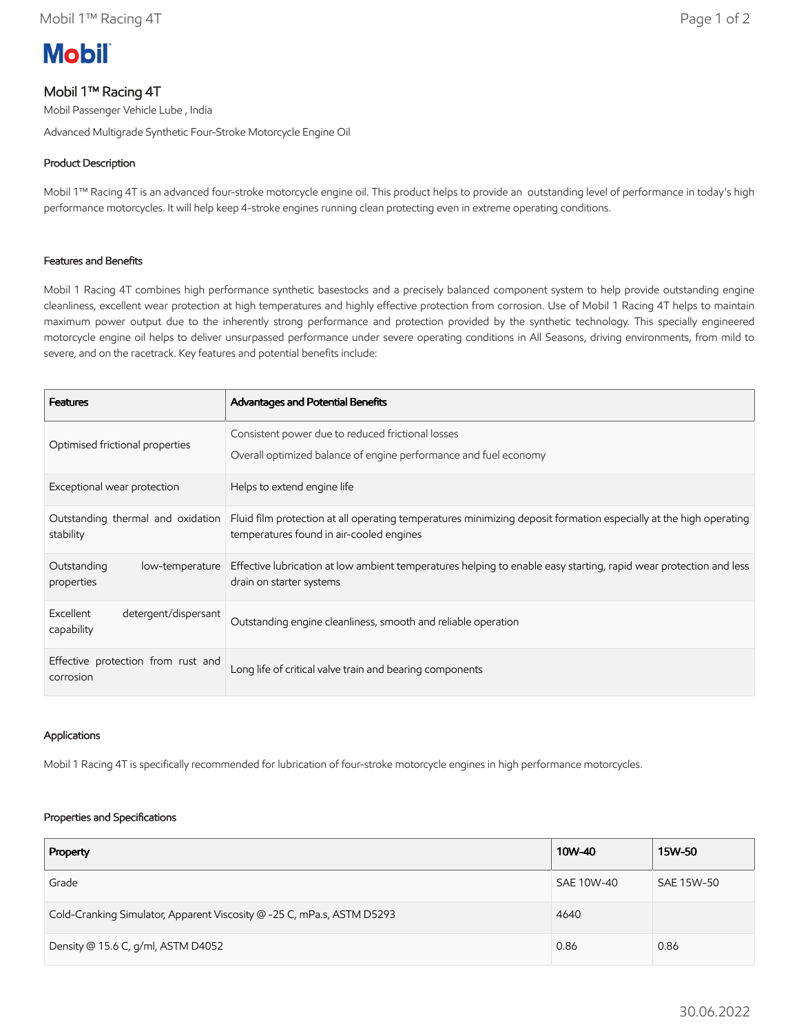# **Mobil**

## Mobil 1™ Racing 4T

Mobil Passenger Vehicle Lube , India

Advanced Multigrade Synthetic Four-Stroke Motorcycle Engine Oil

## Product Description

Mobil 1™ Racing 4T is an advanced four-stroke motorcycle engine oil. This product helps to provide an outstanding level of performance in today's high performance motorcycles. It will help keep 4-stroke engines running clean protecting even in extreme operating conditions.

### Features and Benefits

Mobil 1 Racing 4T combines high performance synthetic basestocks and a precisely balanced component system to help provide outstanding engine cleanliness, excellent wear protection at high temperatures and highly effective protection from corrosion. Use of Mobil 1 Racing 4T helps to maintain maximum power output due to the inherently strong performance and protection provided by the synthetic technology. This specially engineered motorcycle engine oil helps to deliver unsurpassed performance under severe operating conditions in All Seasons, driving environments, from mild to severe, and on the racetrack. Key features and potential benefits include:

| <b>Features</b>                                 | Advantages and Potential Benefits                                                                                                                             |
|-------------------------------------------------|---------------------------------------------------------------------------------------------------------------------------------------------------------------|
| Optimised frictional properties                 | Consistent power due to reduced frictional losses<br>Overall optimized balance of engine performance and fuel economy                                         |
| Exceptional wear protection                     | Helps to extend engine life                                                                                                                                   |
| Outstanding thermal and oxidation<br>stability  | Fluid film protection at all operating temperatures minimizing deposit formation especially at the high operating<br>temperatures found in air-cooled engines |
| Outstanding<br>low-temperature<br>properties    | Effective lubrication at low ambient temperatures helping to enable easy starting, rapid wear protection and less<br>drain on starter systems                 |
| Excellent<br>detergent/dispersant<br>capability | Outstanding engine cleanliness, smooth and reliable operation                                                                                                 |
| Effective protection from rust and<br>corrosion | Long life of critical valve train and bearing components                                                                                                      |

### Applications

Mobil 1 Racing 4T is specifically recommended for lubrication of four-stroke motorcycle engines in high performance motorcycles.

#### Properties and Specifications

| Property                                                               | 10W-40     | 15W-50     |
|------------------------------------------------------------------------|------------|------------|
| Grade                                                                  | SAE 10W-40 | SAE 15W-50 |
| Cold-Cranking Simulator, Apparent Viscosity @ -25 C, mPa.s, ASTM D5293 | 4640       |            |
| Density @ 15.6 C, g/ml, ASTM D4052                                     | 0.86       | 0.86       |